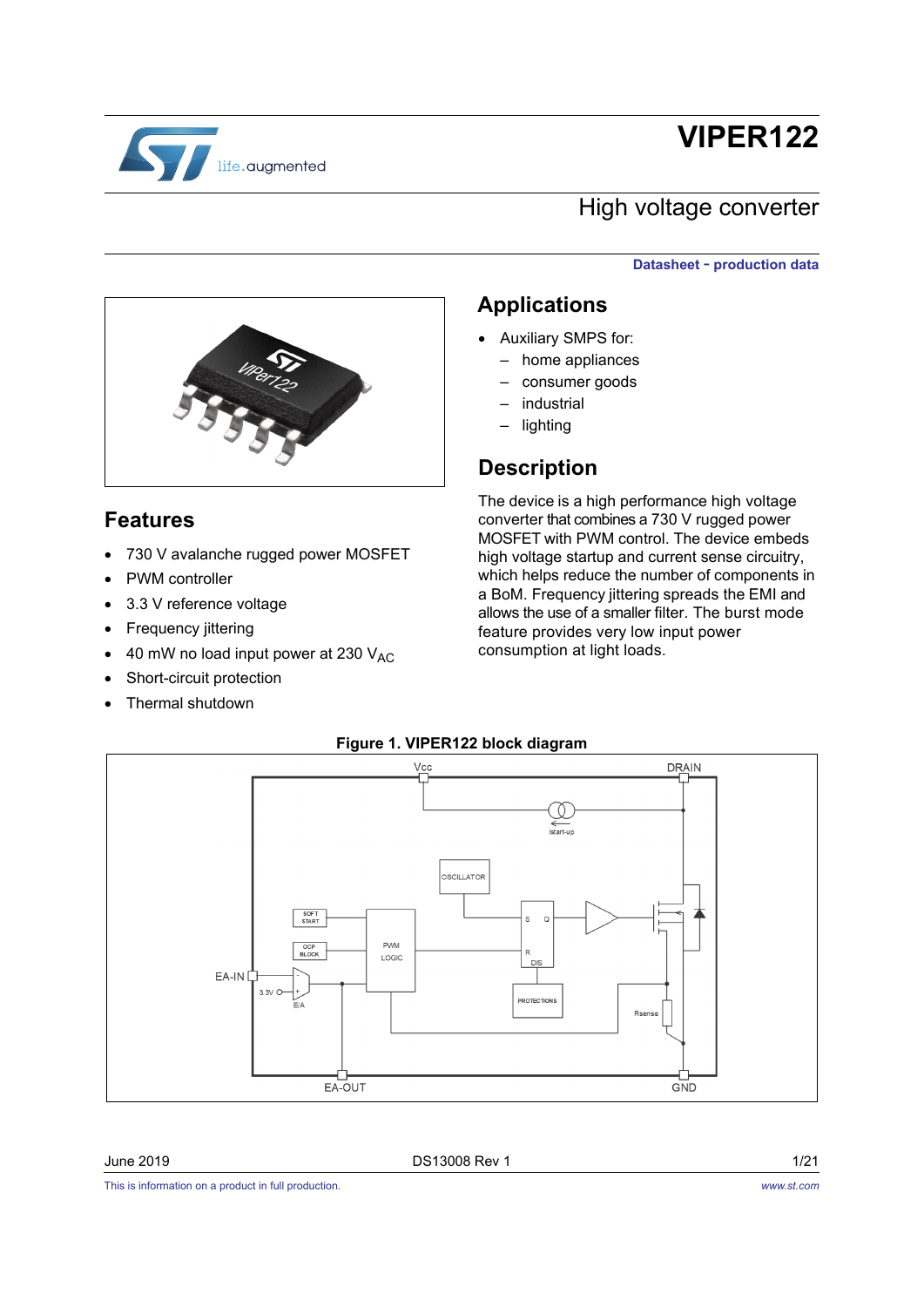

# **VIPER122**

### High voltage converter

#### **Datasheet** - **production data**



730 V avalanche rugged power MOSFET

 $\bullet$  40 mW no load input power at 230  $V_{AC}$ 

### **Applications**

- Auxiliary SMPS for:
	- home appliances
	- consumer goods
	- industrial
	- lighting

### **Description**

The device is a high performance high voltage converter that combines a 730 V rugged power MOSFET with PWM control. The device embeds high voltage startup and current sense circuitry, which helps reduce the number of components in a BoM. Frequency jittering spreads the EMI and allows the use of a smaller filter. The burst mode feature provides very low input power consumption at light loads.

<span id="page-0-0"></span>

#### **Figure 1. VIPER122 block diagram**

**Features**

PWM controller

• Frequency jittering

3.3 V reference voltage

 Short-circuit protection Thermal shutdown

#### June 2019 **DS13008** Rev 1

This is information on a product in full production.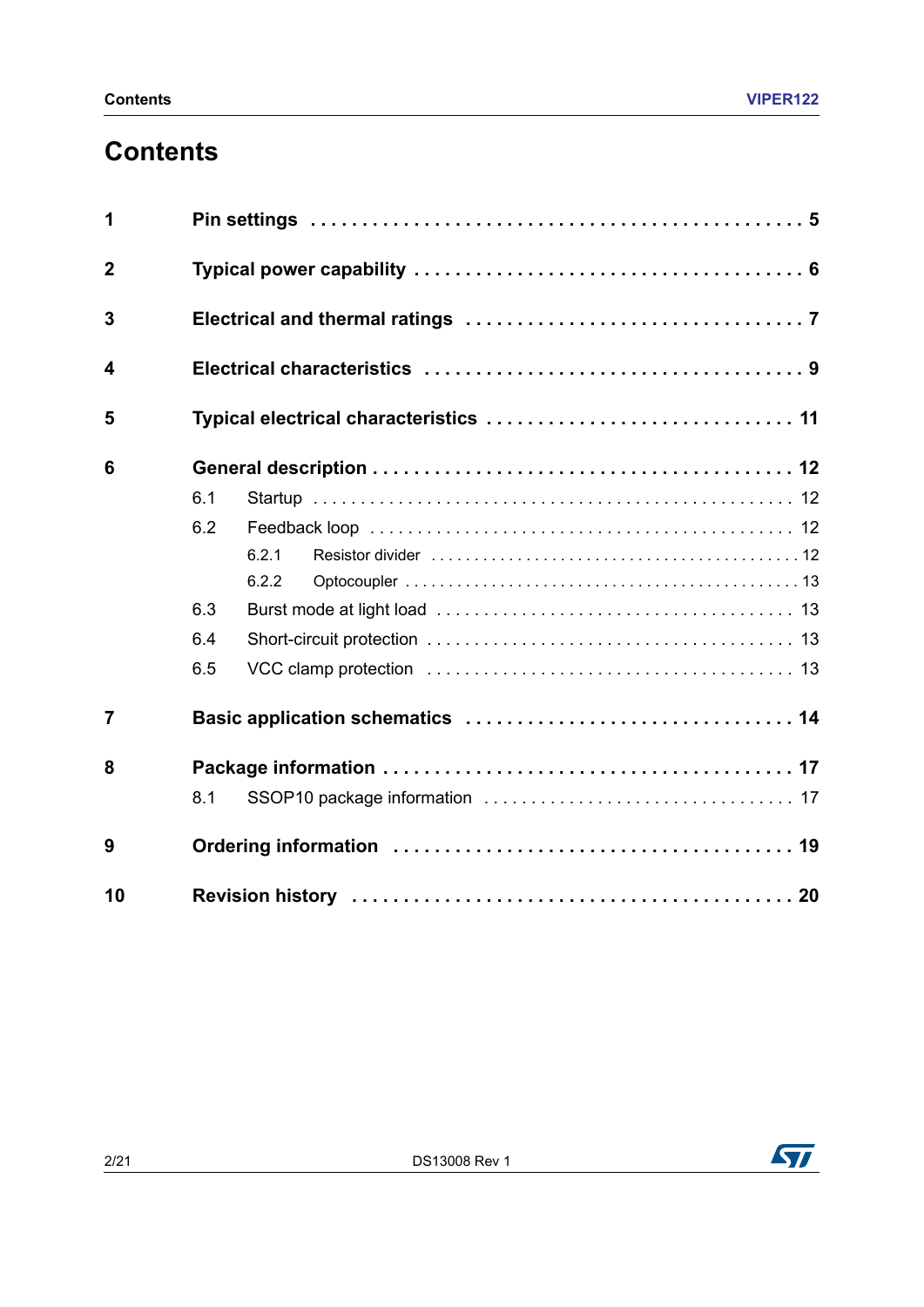# **Contents**

| 1              |     |                                        |  |  |  |
|----------------|-----|----------------------------------------|--|--|--|
| $\overline{2}$ |     |                                        |  |  |  |
| 3              |     |                                        |  |  |  |
| 4              |     |                                        |  |  |  |
| 5              |     | Typical electrical characteristics  11 |  |  |  |
| 6              |     |                                        |  |  |  |
|                | 6.1 |                                        |  |  |  |
|                | 6.2 |                                        |  |  |  |
|                |     | 6.2.1                                  |  |  |  |
|                |     | 6.2.2                                  |  |  |  |
|                | 6.3 |                                        |  |  |  |
|                | 6.4 |                                        |  |  |  |
|                | 6.5 |                                        |  |  |  |
| $\overline{7}$ |     |                                        |  |  |  |
| 8              |     |                                        |  |  |  |
|                | 8.1 |                                        |  |  |  |
| 9              |     |                                        |  |  |  |
| 10             |     |                                        |  |  |  |

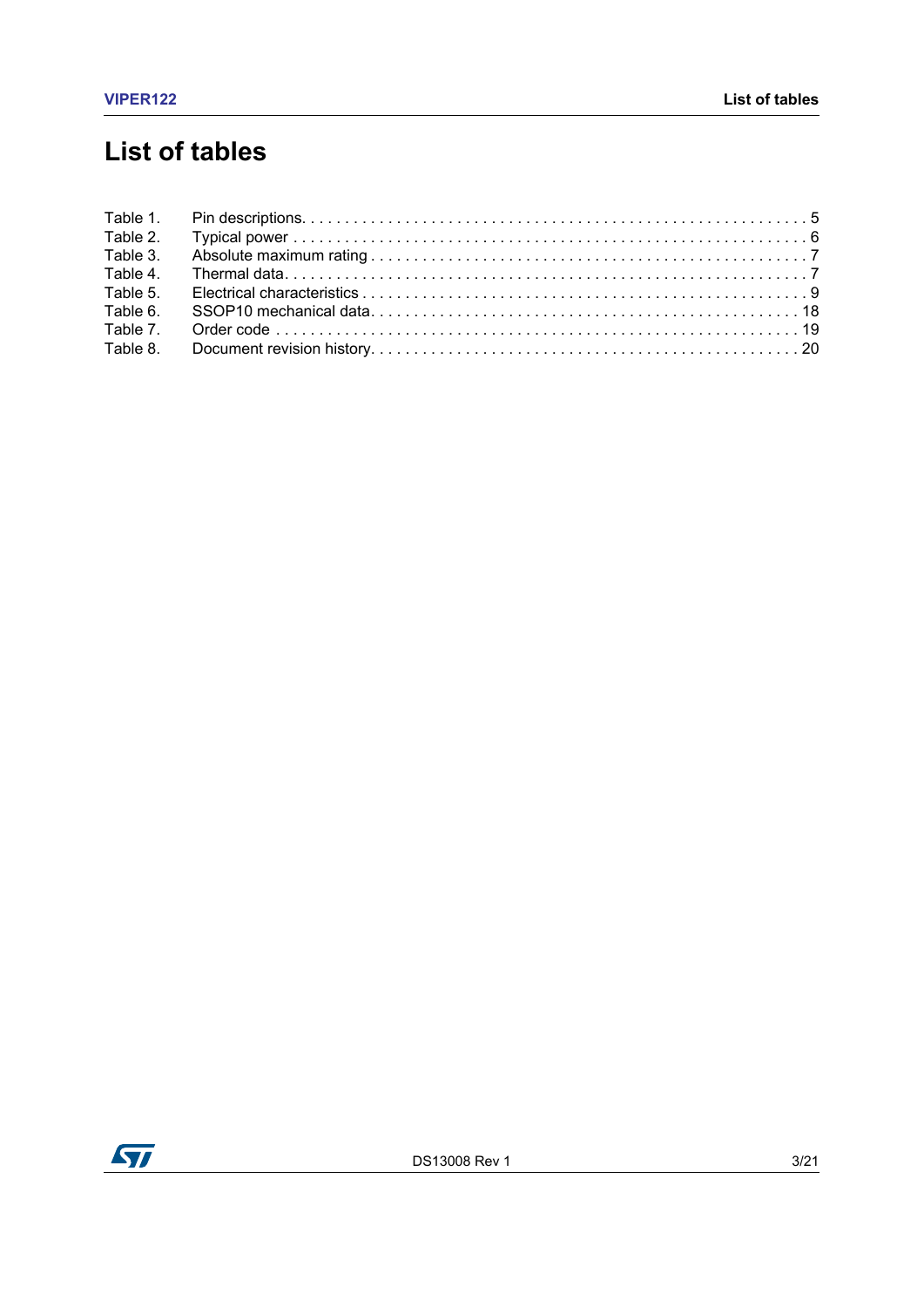# **List of tables**

| Table 2. |  |
|----------|--|
| Table 3. |  |
| Table 4. |  |
| Table 5. |  |
| Table 6. |  |
| Table 7. |  |
| Table 8. |  |

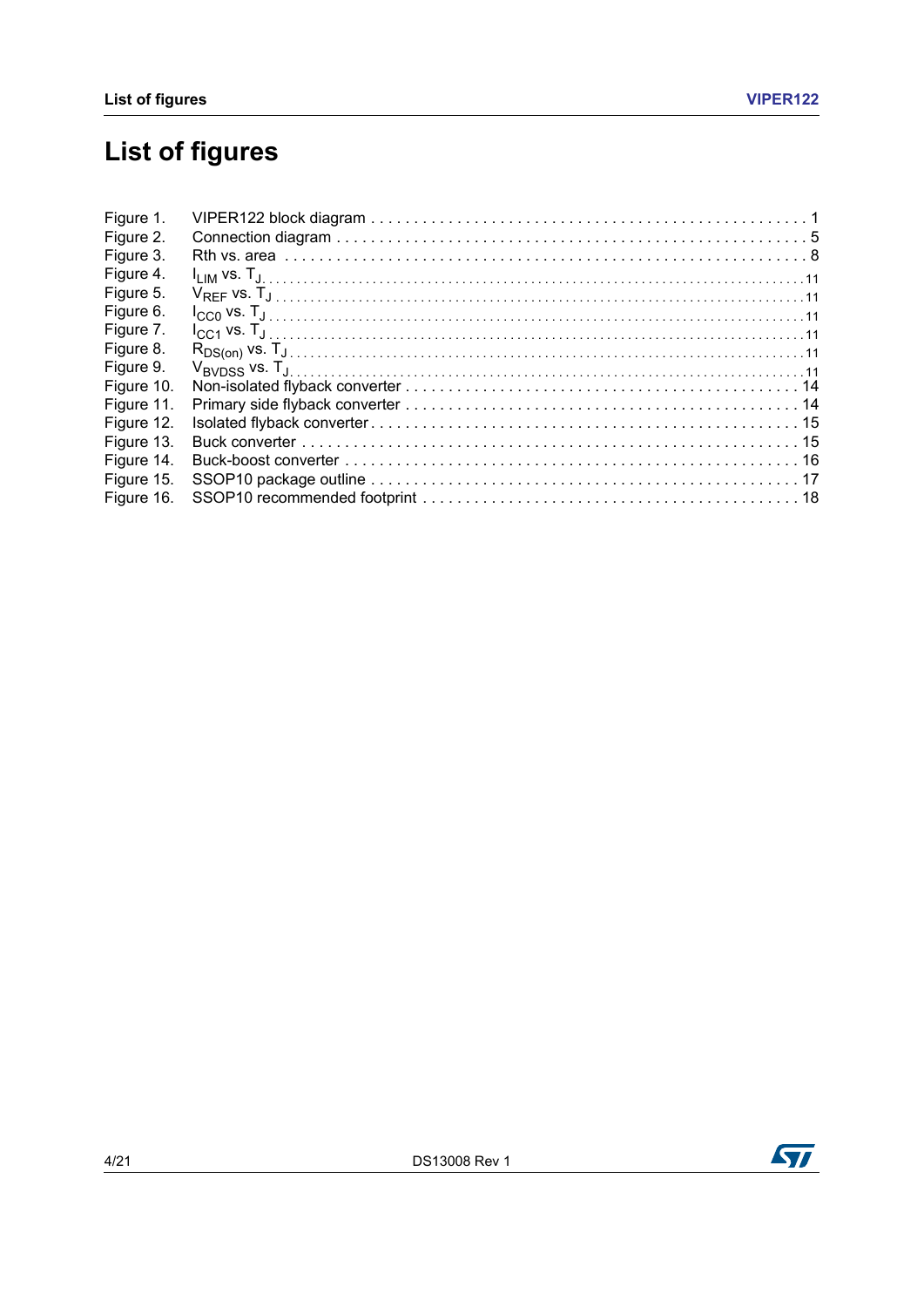# **List of figures**

| Figure 1.  |  |
|------------|--|
| Figure 2.  |  |
| Figure 3.  |  |
| Figure 4.  |  |
| Figure 5.  |  |
| Figure 6.  |  |
| Figure 7.  |  |
| Figure 8.  |  |
| Figure 9.  |  |
| Figure 10. |  |
| Figure 11. |  |
| Figure 12. |  |
| Figure 13. |  |
| Figure 14. |  |
| Figure 15. |  |
| Figure 16. |  |

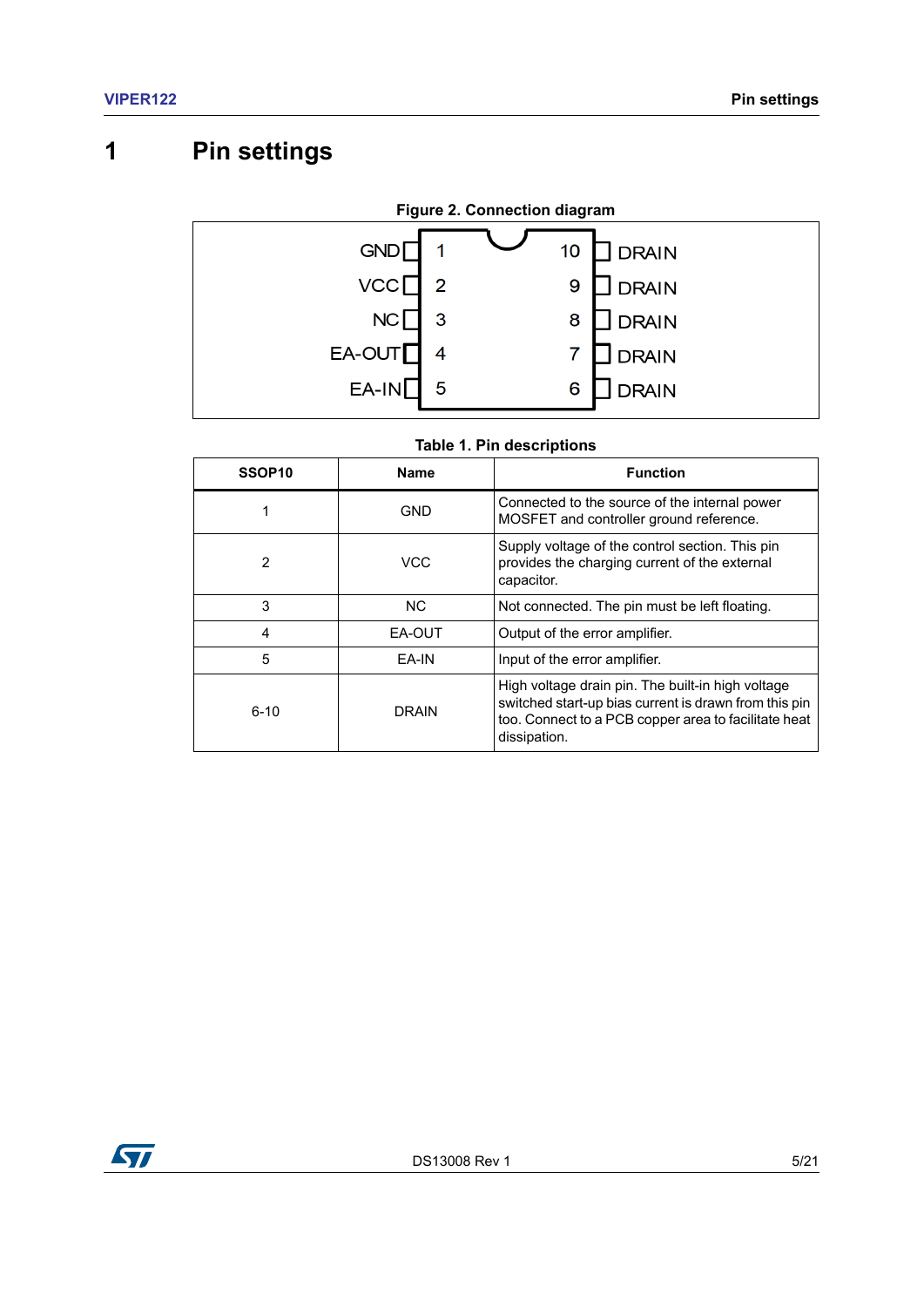# <span id="page-4-0"></span>**1 Pin settings**

<span id="page-4-2"></span>

<span id="page-4-1"></span>

| SSOP <sub>10</sub> | <b>Name</b> | <b>Function</b>                                                                                                |
|--------------------|-------------|----------------------------------------------------------------------------------------------------------------|
|                    | GND         | Connected to the source of the internal power<br>MOSFET and controller ground reference.                       |
| 2                  | VCC         | Supply voltage of the control section. This pin<br>provides the charging current of the external<br>capacitor. |
| 3                  | NC.         | Not connected. The pin must be left floating.                                                                  |
| 4                  | EA-OUT      | Output of the error amplifier.                                                                                 |
| 5                  | EA-IN       | Input of the error amplifier.                                                                                  |
|                    |             | High voltage drain pin. The built-in high voltage                                                              |

dissipation.

switched start-up bias current is drawn from this pin too. Connect to a PCB copper area to facilitate heat

6-10 DRAIN

#### **Table 1. Pin descriptions**

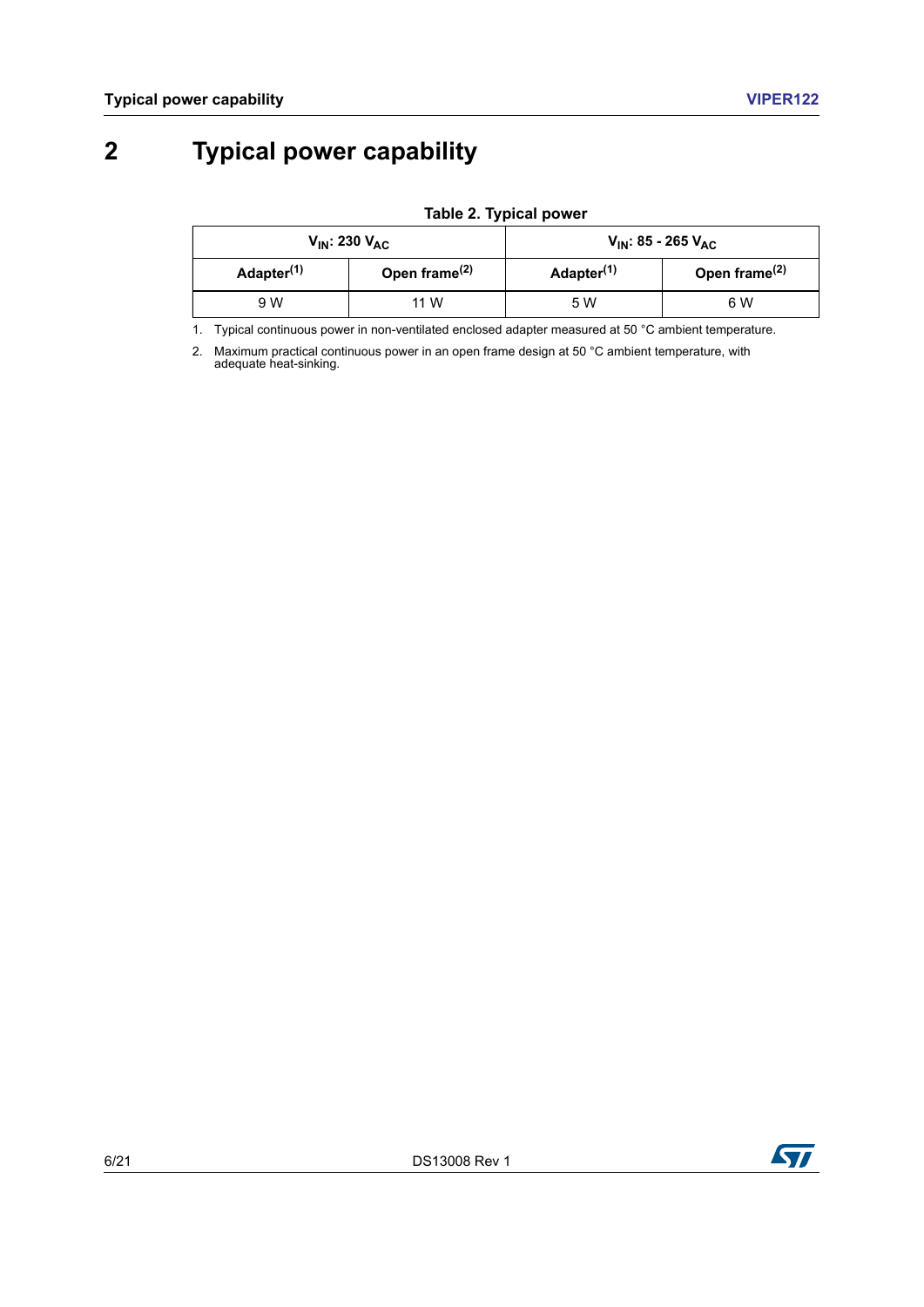# <span id="page-5-0"></span>**2 Typical power capability**

**Table 2. Typical power**

<span id="page-5-1"></span>

|                        | $V_{IN}$ : 230 $V_{AC}$ | V <sub>IN</sub> : 85 - 265 V <sub>AC</sub> |                           |
|------------------------|-------------------------|--------------------------------------------|---------------------------|
| Adapter <sup>(1)</sup> | Open frame $(2)$        | Adapter <sup>(1)</sup>                     | Open frame <sup>(2)</sup> |
| 9 W                    | 11 W                    | 5 W                                        | 6 W                       |

<span id="page-5-2"></span>1. Typical continuous power in non-ventilated enclosed adapter measured at 50 °C ambient temperature.

2. Maximum practical continuous power in an open frame design at 50 °C ambient temperature, with adequate heat-sinking.

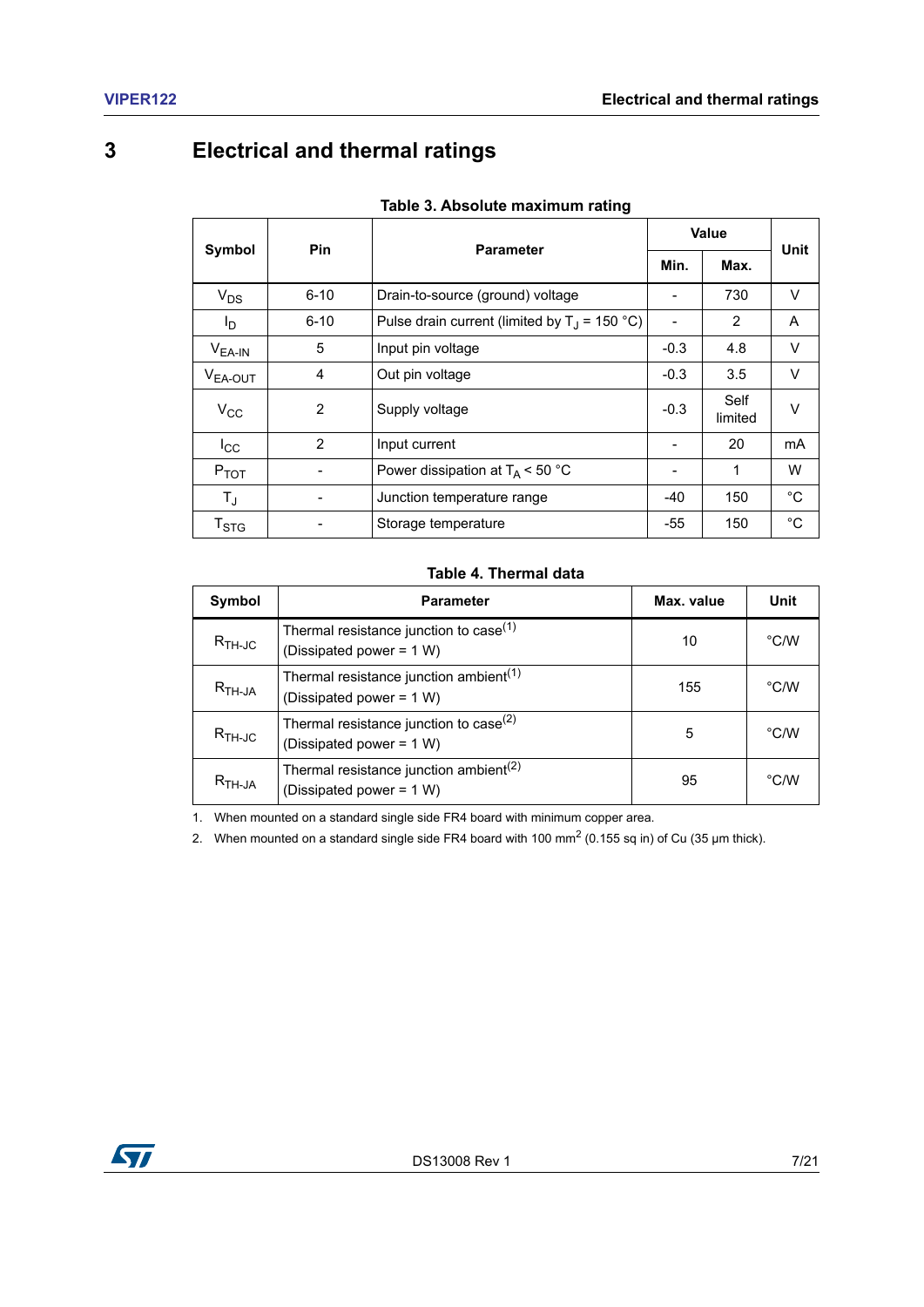## <span id="page-6-0"></span>**3 Electrical and thermal ratings**

<span id="page-6-1"></span>

|                           | <b>Pin</b>     | <b>Parameter</b>                                | Value                    |                 | Unit   |
|---------------------------|----------------|-------------------------------------------------|--------------------------|-----------------|--------|
| Symbol                    |                |                                                 | Min.                     | Max.            |        |
| $V_{DS}$                  | $6 - 10$       | Drain-to-source (ground) voltage                |                          | 730             | V      |
| l <sub>D</sub>            | $6 - 10$       | Pulse drain current (limited by $T_1$ = 150 °C) | $\overline{\phantom{a}}$ | $\mathcal{P}$   | A      |
| $V_{EA-IN}$               | 5              | Input pin voltage                               | $-0.3$                   | 4.8             | $\vee$ |
| V <sub>EA-OUT</sub>       | 4              | Out pin voltage                                 | $-0.3$                   | 3.5             | V      |
| $V_{\rm CC}$              | $\mathfrak{p}$ | Supply voltage                                  | $-0.3$                   | Self<br>limited | $\vee$ |
| $_{\rm{lcc}}$             | $\mathfrak{p}$ | Input current                                   |                          | 20              | mA     |
| $P_{TOT}$                 |                | Power dissipation at $T_A$ < 50 °C              |                          | 1               | W      |
| $T_{\rm J}$               |                | Junction temperature range                      | -40                      | 150             | °C     |
| $\mathsf{T}_{\text{STG}}$ |                | Storage temperature                             | -55                      | 150             | °C     |

#### **Table 4. Thermal data**

<span id="page-6-2"></span>

| Symbol                                        | <b>Parameter</b>                                                               | Max. value | Unit          |
|-----------------------------------------------|--------------------------------------------------------------------------------|------------|---------------|
| $R_{TH-JC}$                                   | Thermal resistance junction to case <sup>(1)</sup><br>(Dissipated power = 1 W) | 10         | $\degree$ C/W |
| $R$ <sub>TH-JA</sub>                          | Thermal resistance junction ambient <sup>(1)</sup><br>(Dissipated power = 1 W) | 155        | $\degree$ C/W |
| $R_{TH-JC}$                                   | Thermal resistance junction to case $(2)$<br>(Dissipated power = 1 W)          | 5          | $\degree$ C/W |
| $\mathsf{R}_{\mathsf{TH}\text{-}\mathsf{JA}}$ | Thermal resistance junction ambient <sup>(2)</sup><br>(Dissipated power = 1 W) | 95         | $\degree$ C/W |

<span id="page-6-3"></span>1. When mounted on a standard single side FR4 board with minimum copper area.

2. When mounted on a standard single side FR4 board with 100 mm<sup>2</sup> (0.155 sq in) of Cu (35 µm thick).

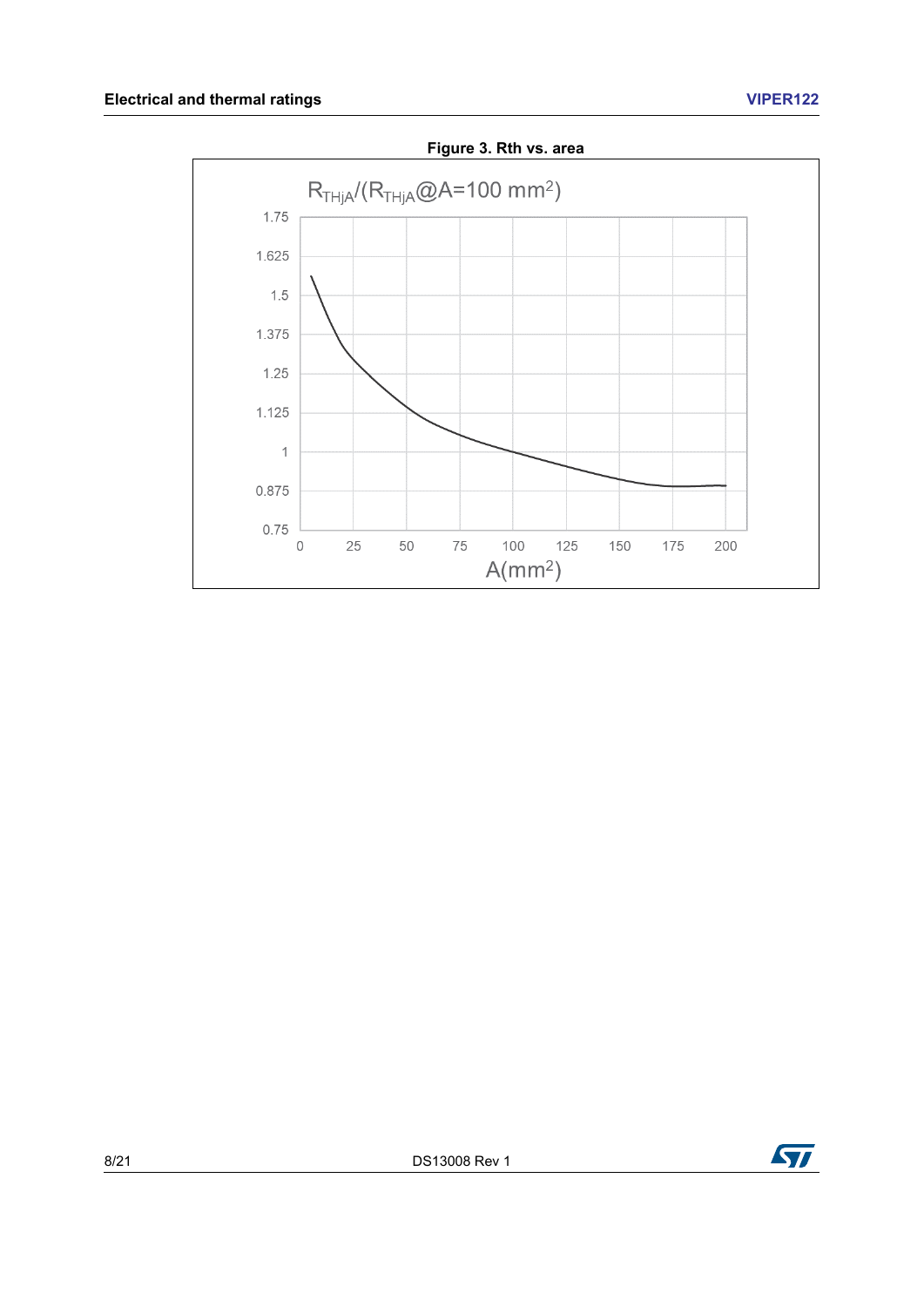<span id="page-7-0"></span>

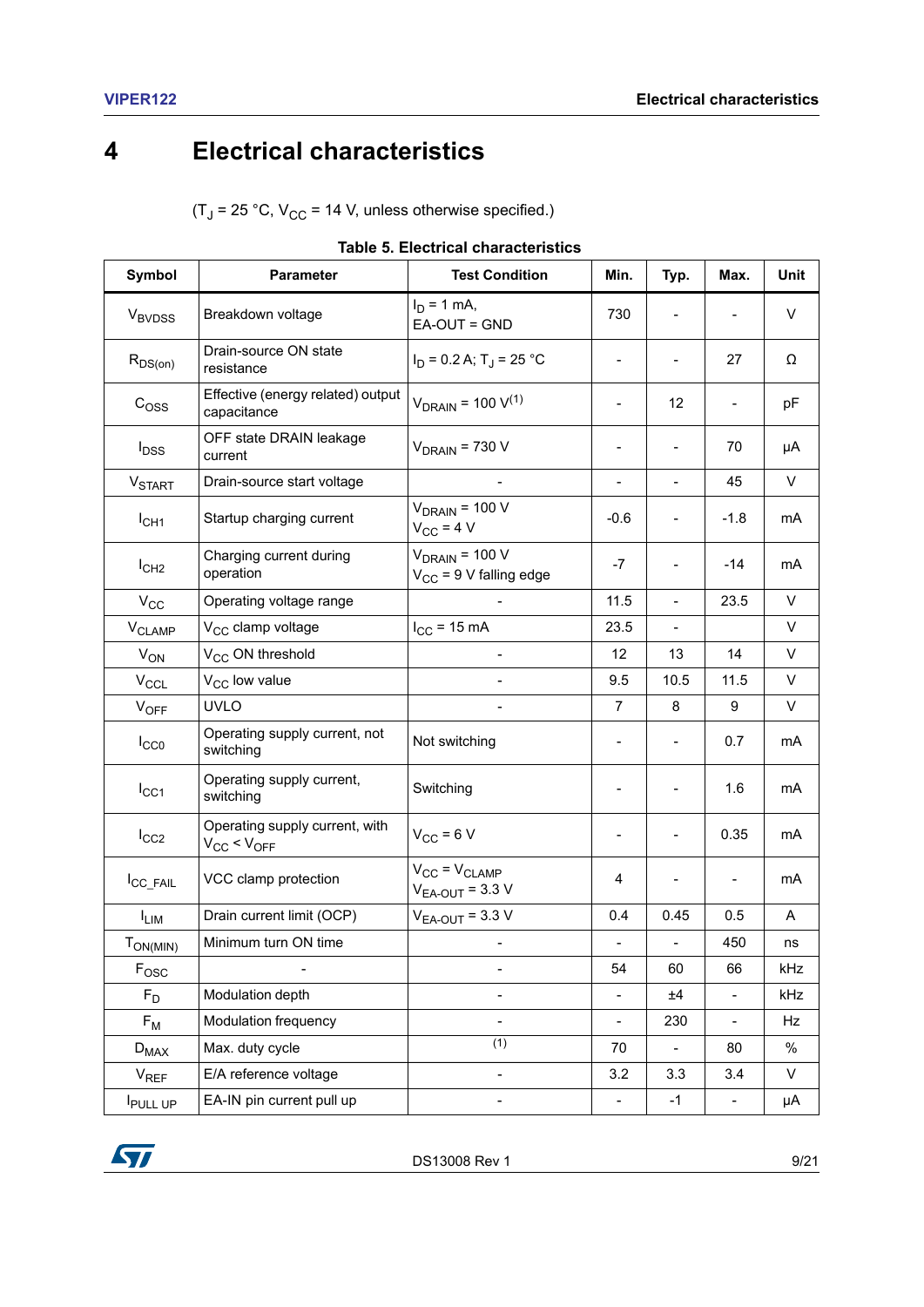# <span id="page-8-0"></span>**4 Electrical characteristics**

 $(T_J = 25 °C, V_{CC} = 14 V,$  unless otherwise specified.)

<span id="page-8-1"></span>

| Symbol                   | <b>Parameter</b>                                       | <b>Test Condition</b>                              | Min.                         | Typ.                     | Max.                     | Unit |
|--------------------------|--------------------------------------------------------|----------------------------------------------------|------------------------------|--------------------------|--------------------------|------|
| <b>V<sub>BVDSS</sub></b> | Breakdown voltage                                      | $I_D = 1$ mA,<br>EA-OUT = GND                      | 730                          |                          |                          | V    |
| $R_{DS(on)}$             | Drain-source ON state<br>resistance                    | $I_D$ = 0.2 A; T <sub>J</sub> = 25 °C              |                              |                          | 27                       | Ω    |
| C <sub>OSS</sub>         | Effective (energy related) output<br>capacitance       | $V_{\text{DRAIN}} = 100 \text{ V}^{(1)}$           |                              | 12                       |                          | pF   |
| <b>I</b> <sub>DSS</sub>  | OFF state DRAIN leakage<br>current                     | $V_{DRAIN}$ = 730 V                                |                              | $\overline{\phantom{a}}$ | 70                       | μA   |
| <b>V<sub>START</sub></b> | Drain-source start voltage                             |                                                    | $\blacksquare$               | $\overline{\phantom{0}}$ | 45                       | V    |
| $I_{CH1}$                | Startup charging current                               | $V_{DRAIN}$ = 100 V<br>$V_{CC}$ = 4 V              | $-0.6$                       |                          | $-1.8$                   | mA   |
| I <sub>CH2</sub>         | Charging current during<br>operation                   | $V_{DRAIN}$ = 100 V<br>$V_{CC}$ = 9 V falling edge | $-7$                         | $\overline{\phantom{0}}$ | $-14$                    | mA   |
| $V_{CC}$                 | Operating voltage range                                |                                                    | 11.5                         | $\overline{a}$           | 23.5                     | V    |
| V <sub>CLAMP</sub>       | V <sub>CC</sub> clamp voltage                          | $I_{CC}$ = 15 mA                                   | 23.5                         |                          |                          | V    |
| $V_{ON}$                 | V <sub>CC</sub> ON threshold                           | $\overline{\phantom{a}}$                           | 12                           | 13                       | 14                       | V    |
| $V_{CCL}$                | V <sub>CC</sub> low value                              |                                                    | 9.5                          | 10.5                     | 11.5                     | V    |
| $V_{OFF}$                | <b>UVLO</b>                                            |                                                    | $\overline{7}$               | 8                        | 9                        | V    |
| $I_{CC0}$                | Operating supply current, not<br>switching             | Not switching                                      |                              |                          | 0.7                      | mA   |
| $I_{\text{CC1}}$         | Operating supply current,<br>switching                 | Switching                                          |                              |                          | 1.6                      | mA   |
| $I_{CC2}$                | Operating supply current, with<br>$V_{CC}$ < $V_{OFF}$ | $V_{CC}$ = 6 V                                     |                              |                          | 0.35                     | mA   |
| I <sub>CC_FAIL</sub>     | VCC clamp protection                                   | $V_{CC} = V_{CLAMP}$<br>$V_{EA-OUT}$ = 3.3 V       | 4                            |                          |                          | mA   |
| $I_{LIM}$                | Drain current limit (OCP)                              | $V_{EA-OUT}$ = 3.3 V                               | 0.4                          | 0.45                     | 0.5                      | A    |
| $T_{ON(MIN)}$            | Minimum turn ON time                                   | $\blacksquare$                                     | $\qquad \qquad \blacksquare$ | $\blacksquare$           | 450                      | ns   |
| $F_{\text{OSC}}$         | $\overline{\phantom{0}}$                               | -                                                  | 54                           | 60                       | 66                       | kHz  |
| $F_D$                    | Modulation depth                                       | -                                                  | $\overline{\phantom{a}}$     | ±4                       | $\overline{\phantom{a}}$ | kHz  |
| $F_M$                    | Modulation frequency                                   | $\qquad \qquad \blacksquare$                       | $\overline{\phantom{a}}$     | 230                      | $\blacksquare$           | Hz   |
| $D_{MAX}$                | Max. duty cycle                                        | $\overline{(1)}$                                   | 70                           | $\overline{a}$           | 80                       | $\%$ |
| $V_{REF}$                | E/A reference voltage                                  | $\overline{\phantom{0}}$                           | 3.2                          | 3.3                      | 3.4                      | V    |
| <b>I</b> PULL UP         | EA-IN pin current pull up                              | $\qquad \qquad -$                                  | $\overline{\phantom{0}}$     | $-1$                     | $\overline{\phantom{a}}$ | μA   |

|  |  | <b>Table 5. Electrical characteristics</b> |
|--|--|--------------------------------------------|
|--|--|--------------------------------------------|

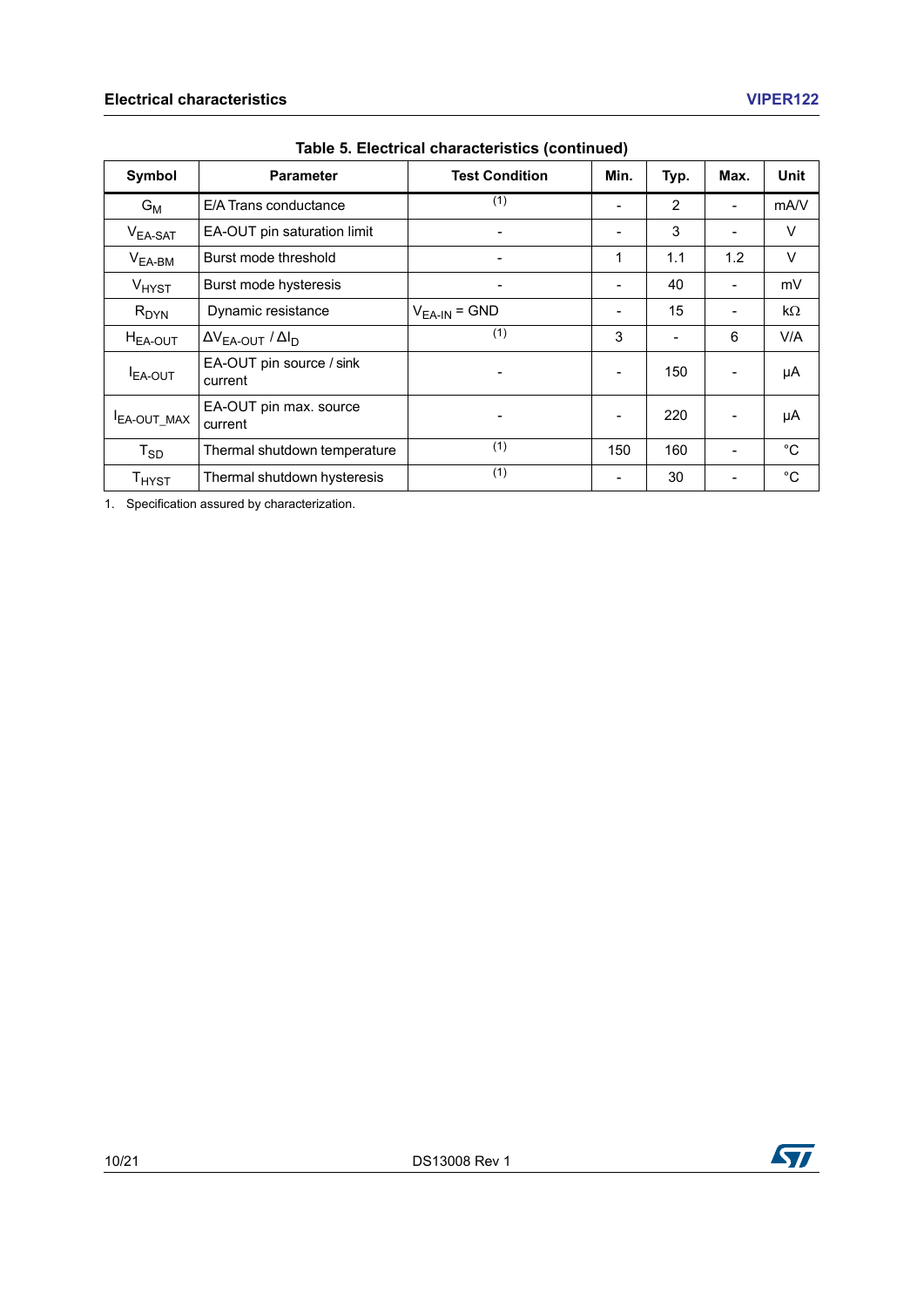| Symbol              | <b>Parameter</b>                    | <b>Test Condition</b>    | Min. | Typ. | Max. | <b>Unit</b> |
|---------------------|-------------------------------------|--------------------------|------|------|------|-------------|
| $G_M$               | E/A Trans conductance               | (1)                      |      | 2    |      | mA/V        |
| $V_{EA-SAT}$        | EA-OUT pin saturation limit         | $\overline{\phantom{a}}$ |      | 3    |      | $\vee$      |
| $V_{EA-BM}$         | Burst mode threshold                | $\overline{\phantom{0}}$ | 1    | 1.1  | 1.2  | $\vee$      |
| V <sub>HYST</sub>   | Burst mode hysteresis               |                          |      | 40   |      | mV          |
| $R_{DYN}$           | Dynamic resistance                  | $V_{EA-IN}$ = GND        |      | 15   |      | $k\Omega$   |
| $H_{EA-OUT}$        | $\Delta V_{EA-OUT} / \Delta I_D$    | (1)                      | 3    |      | 6    | V/A         |
| <b>I</b> EA-OUT     | EA-OUT pin source / sink<br>current |                          |      | 150  |      | μA          |
| <b>I</b> EA-OUT_MAX | EA-OUT pin max. source<br>current   |                          |      | 220  |      | μA          |
| $T_{SD}$            | Thermal shutdown temperature        | (1)                      | 150  | 160  |      | °C          |
| $T_{H YST}$         | Thermal shutdown hysteresis         | (1)                      |      | 30   |      | °C          |

#### **Table 5. Electrical characteristics (continued)**

<span id="page-9-0"></span>1. Specification assured by characterization.

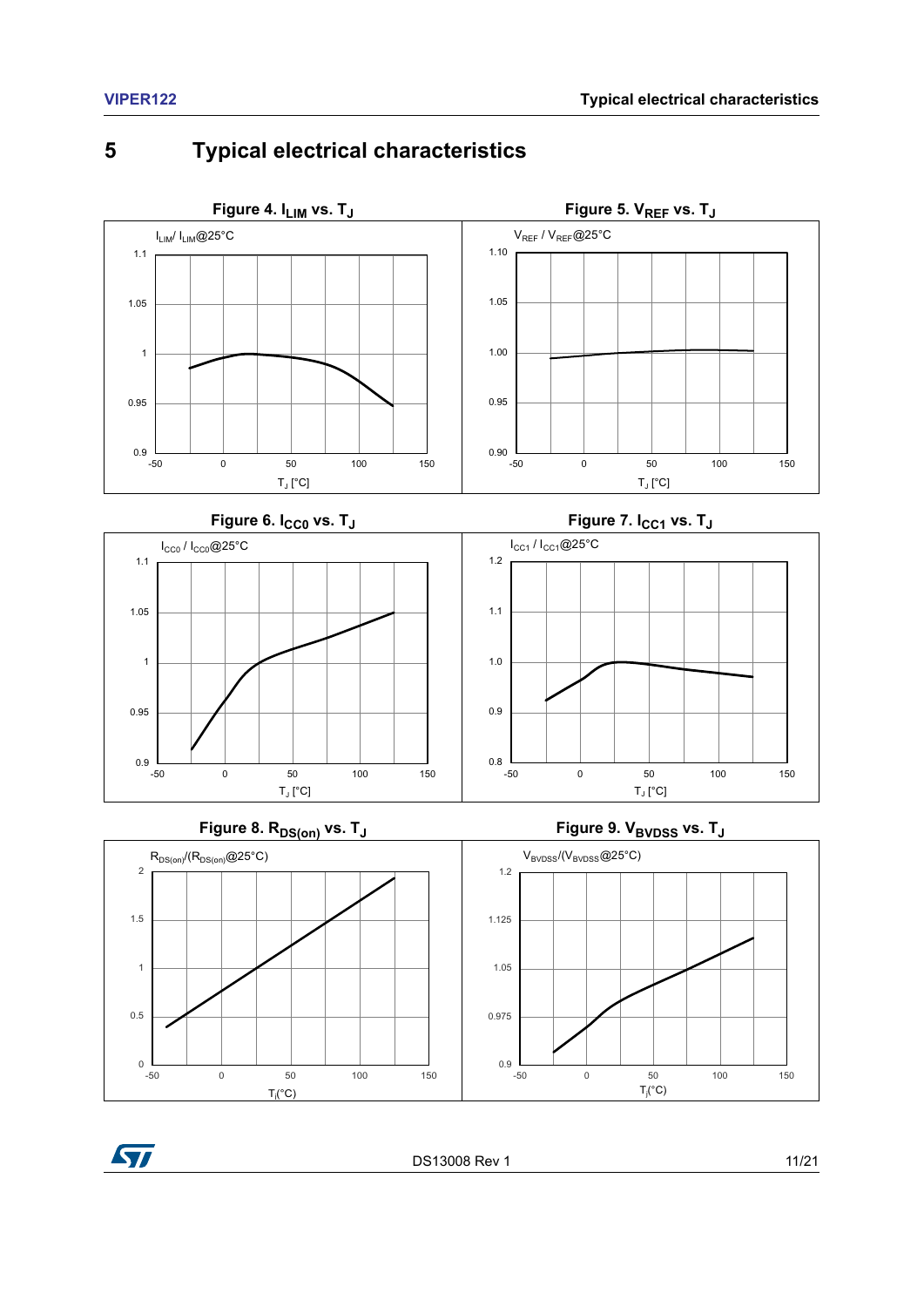### <span id="page-10-2"></span><span id="page-10-0"></span>**5 Typical electrical characteristics**

<span id="page-10-3"></span><span id="page-10-1"></span>

### **Figure 8. R**<sub>DS(on)</sub> vs. T<sub>J</sub> **Figure 9. V**<sub>BVDSS</sub> vs. T<sub>J</sub>

<span id="page-10-5"></span>

<span id="page-10-6"></span><span id="page-10-4"></span>



DS13008 Rev 1 11/21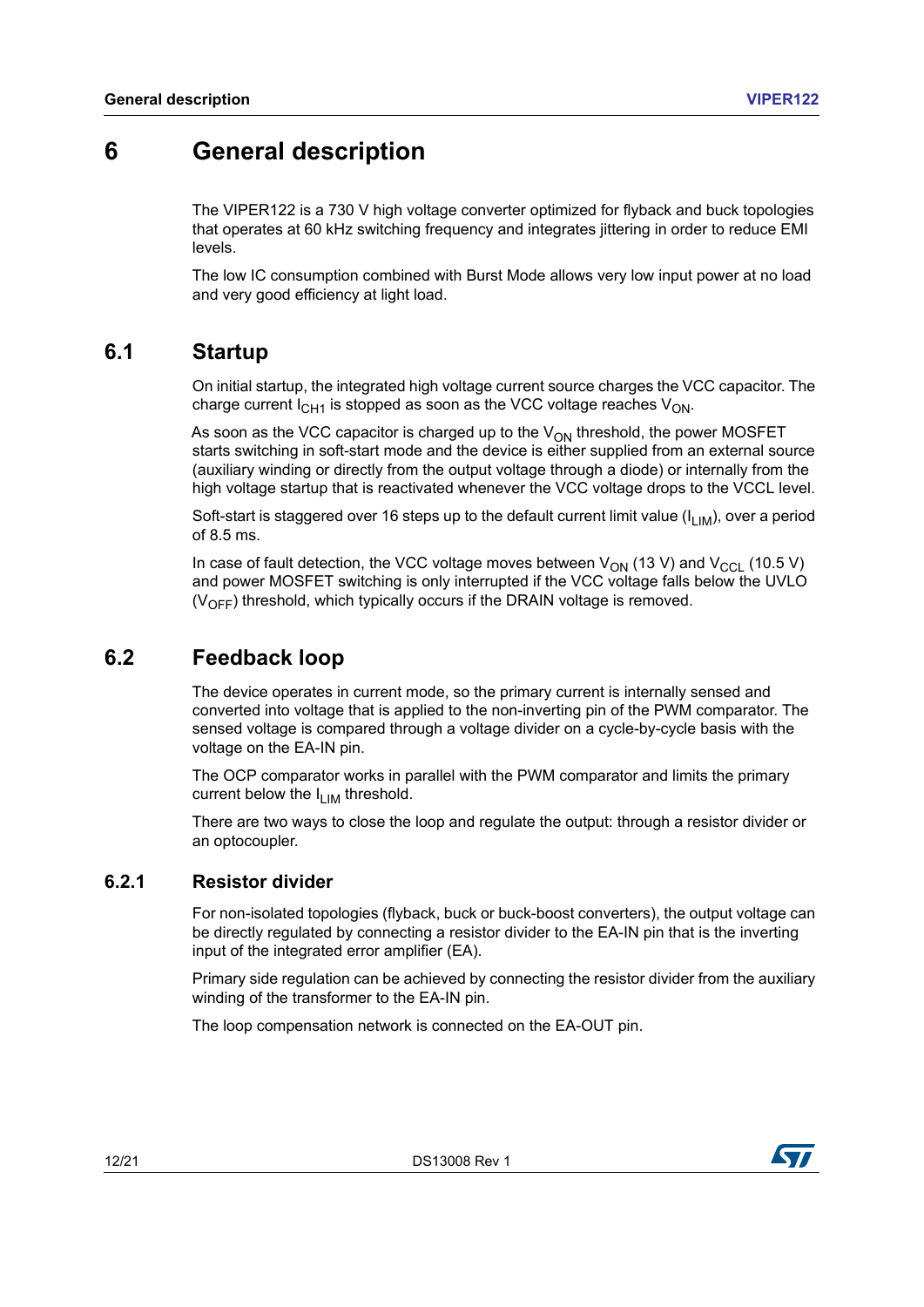### <span id="page-11-0"></span>**6 General description**

The VIPER122 is a 730 V high voltage converter optimized for flyback and buck topologies that operates at 60 kHz switching frequency and integrates jittering in order to reduce EMI levels.

The low IC consumption combined with Burst Mode allows very low input power at no load and very good efficiency at light load.

### <span id="page-11-1"></span>**6.1 Startup**

On initial startup, the integrated high voltage current source charges the VCC capacitor. The charge current  $I_{CH1}$  is stopped as soon as the VCC voltage reaches  $V_{OM}$ .

As soon as the VCC capacitor is charged up to the  $V_{ON}$  threshold, the power MOSFET starts switching in soft-start mode and the device is either supplied from an external source (auxiliary winding or directly from the output voltage through a diode) or internally from the high voltage startup that is reactivated whenever the VCC voltage drops to the VCCL level.

Soft-start is staggered over 16 steps up to the default current limit value ( $I_{LIM}$ ), over a period of 8.5 ms.

In case of fault detection, the VCC voltage moves between  $V_{ON}$  (13 V) and  $V_{CCL}$  (10.5 V) and power MOSFET switching is only interrupted if the VCC voltage falls below the UVLO  $(V_{OFF})$  threshold, which typically occurs if the DRAIN voltage is removed.

### <span id="page-11-2"></span>**6.2 Feedback loop**

The device operates in current mode, so the primary current is internally sensed and converted into voltage that is applied to the non-inverting pin of the PWM comparator. The sensed voltage is compared through a voltage divider on a cycle-by-cycle basis with the voltage on the EA-IN pin.

The OCP comparator works in parallel with the PWM comparator and limits the primary current below the  $I_{LIM}$  threshold.

There are two ways to close the loop and regulate the output: through a resistor divider or an optocoupler.

#### <span id="page-11-3"></span>**6.2.1 Resistor divider**

For non-isolated topologies (flyback, buck or buck-boost converters), the output voltage can be directly regulated by connecting a resistor divider to the EA-IN pin that is the inverting input of the integrated error amplifier (EA).

Primary side regulation can be achieved by connecting the resistor divider from the auxiliary winding of the transformer to the EA-IN pin.

The loop compensation network is connected on the EA-OUT pin.



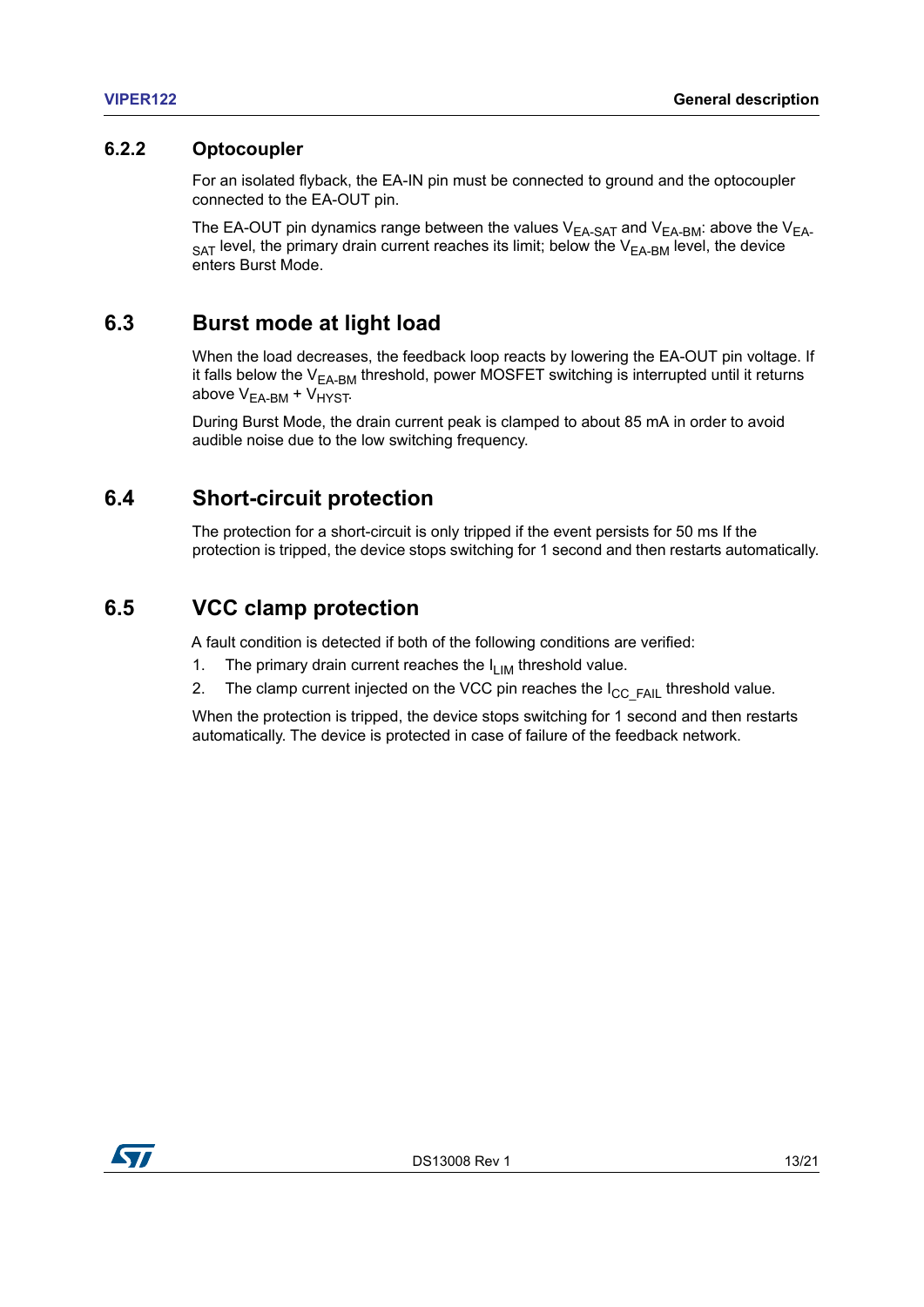#### <span id="page-12-0"></span>**6.2.2 Optocoupler**

For an isolated flyback, the EA-IN pin must be connected to ground and the optocoupler connected to the EA-OUT pin.

The EA-OUT pin dynamics range between the values  $V_{EA-SAT}$  and  $V_{EA-BM}$ : above the  $V_{EA}$ .  $_{\text{SAT}}$  level, the primary drain current reaches its limit; below the  $V_{\text{EA-BM}}$  level, the device enters Burst Mode.

### <span id="page-12-1"></span>**6.3 Burst mode at light load**

When the load decreases, the feedback loop reacts by lowering the EA-OUT pin voltage. If it falls below the  $V_{EA-BM}$  threshold, power MOSFET switching is interrupted until it returns above  $V_{EA-BM}$  +  $V_{HYST}$ .

During Burst Mode, the drain current peak is clamped to about 85 mA in order to avoid audible noise due to the low switching frequency.

### <span id="page-12-2"></span>**6.4 Short-circuit protection**

The protection for a short-circuit is only tripped if the event persists for 50 ms If the protection is tripped, the device stops switching for 1 second and then restarts automatically.

### <span id="page-12-3"></span>**6.5 VCC clamp protection**

A fault condition is detected if both of the following conditions are verified:

- 1. The primary drain current reaches the  $I_{LIM}$  threshold value.
- 2. The clamp current injected on the VCC pin reaches the  $I_{CC-FAIL}$  threshold value.

When the protection is tripped, the device stops switching for 1 second and then restarts automatically. The device is protected in case of failure of the feedback network.

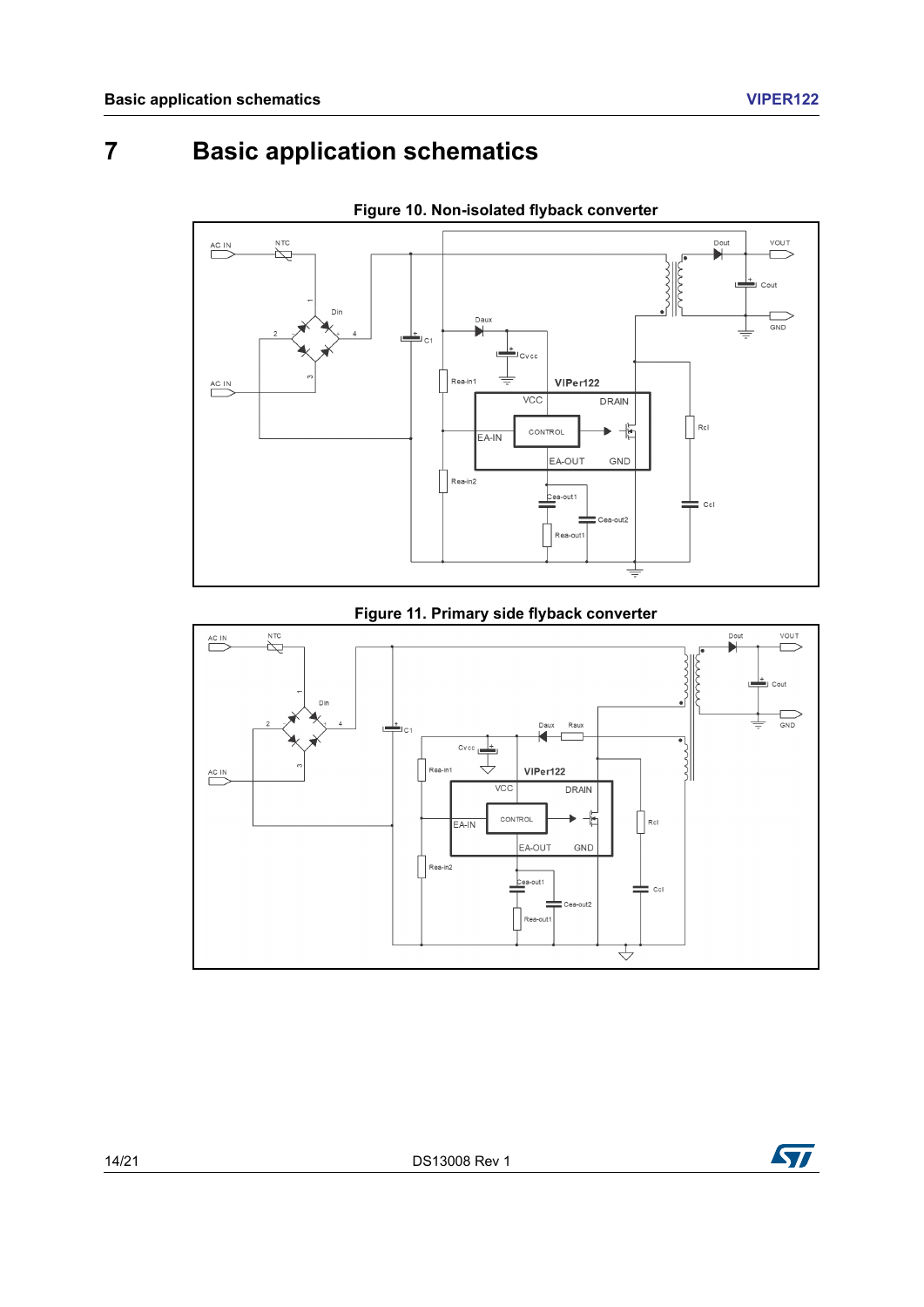# <span id="page-13-0"></span>**7 Basic application schematics**

<span id="page-13-1"></span>

**Figure 10. Non-isolated flyback converter**

#### **Figure 11. Primary side flyback converter**

<span id="page-13-2"></span>

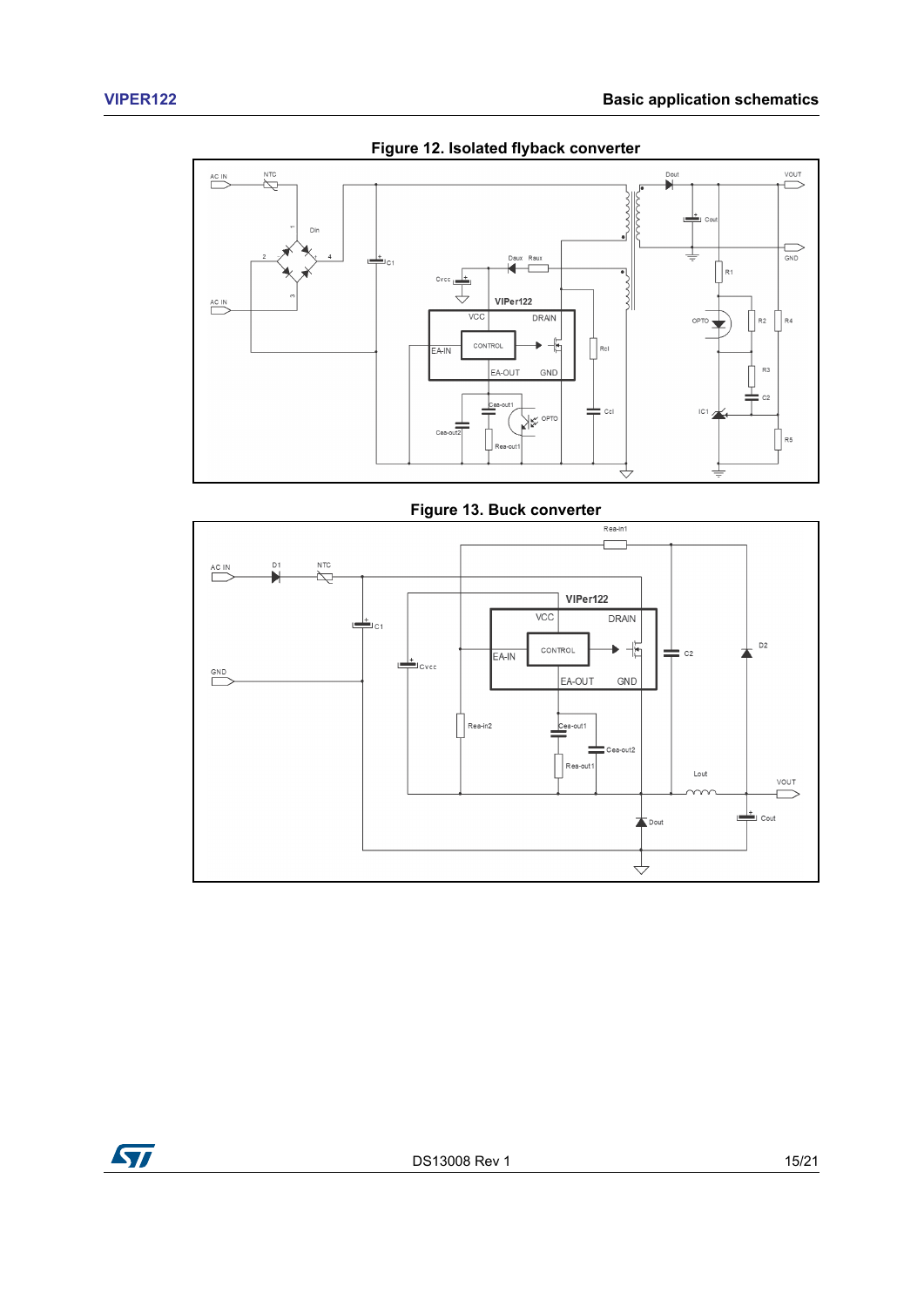<span id="page-14-0"></span>

**Figure 12. Isolated flyback converter**



<span id="page-14-1"></span>

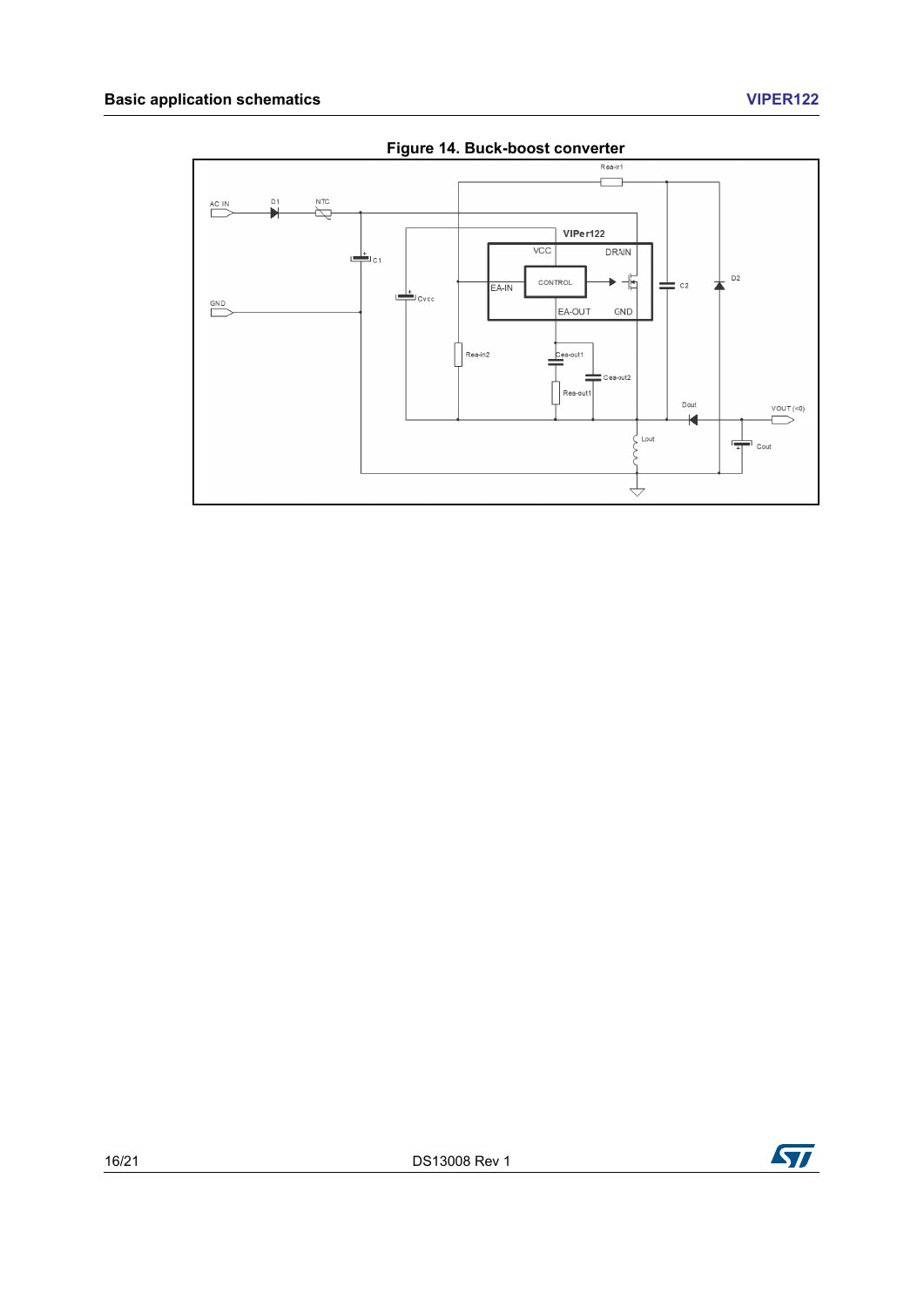#### **Basic application schematics VIPER122**

<span id="page-15-0"></span>

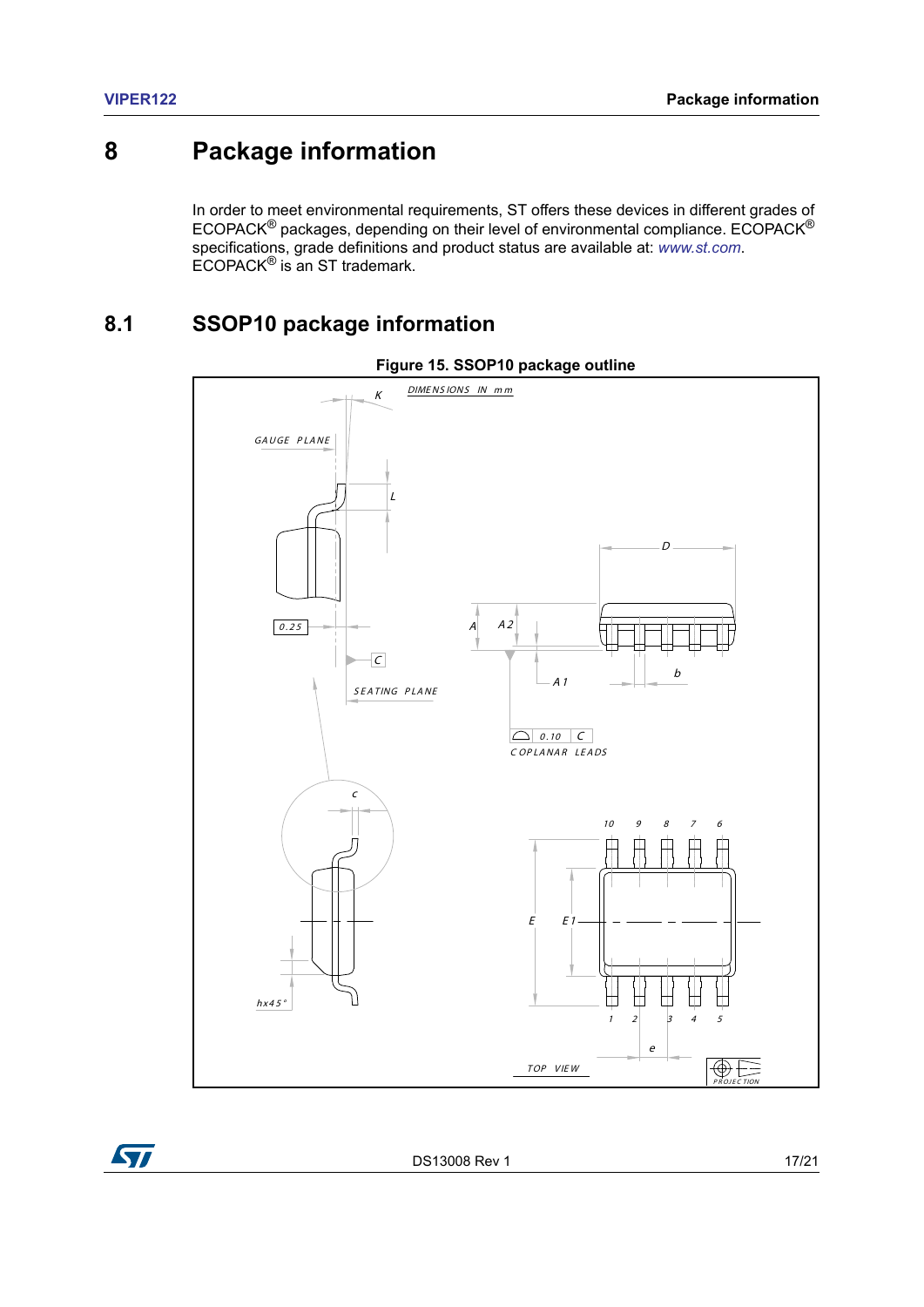### <span id="page-16-0"></span>**8 Package information**

In order to meet environmental requirements, ST offers these devices in different grades of ECOPACK® packages, depending on their level of environmental compliance. ECOPACK® specifications, grade definitions and product status are available at: *[www.st.com](http://www.st.com)*. ECOPACK® is an ST trademark.

### <span id="page-16-1"></span>**8.1 SSOP10 package information**

<span id="page-16-2"></span>



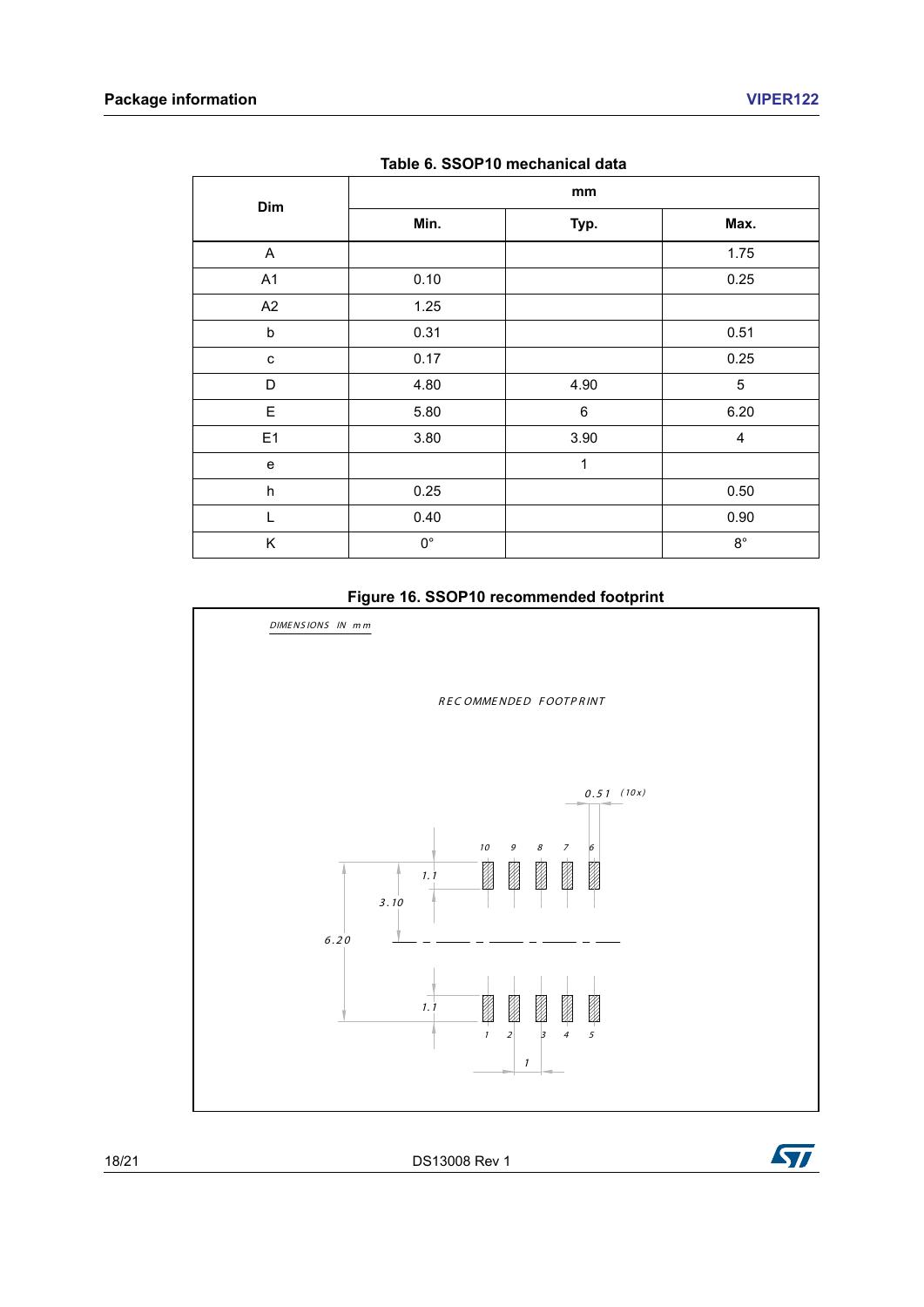<span id="page-17-0"></span>

| Dim            | mm          |      |                         |  |  |
|----------------|-------------|------|-------------------------|--|--|
|                | Min.        | Typ. | Max.                    |  |  |
| A              |             |      | 1.75                    |  |  |
| A1             | 0.10        |      | 0.25                    |  |  |
| A2             | 1.25        |      |                         |  |  |
| $\sf b$        | 0.31        |      | 0.51                    |  |  |
| C              | 0.17        |      | 0.25                    |  |  |
| D              | 4.80        | 4.90 | $\sqrt{5}$              |  |  |
| E.             | 5.80        | 6    | 6.20                    |  |  |
| E <sub>1</sub> | 3.80        | 3.90 | $\overline{\mathbf{4}}$ |  |  |
| $\mathbf e$    |             | 1    |                         |  |  |
| h              | 0.25        |      | 0.50                    |  |  |
| $\mathbf{I}$   | 0.40        |      | 0.90                    |  |  |
| Κ              | $0^{\circ}$ |      | $8^{\circ}$             |  |  |



<span id="page-17-1"></span>

#### **Figure 16. SSOP10 recommended footprint**

18/21 DS13008 Rev 1

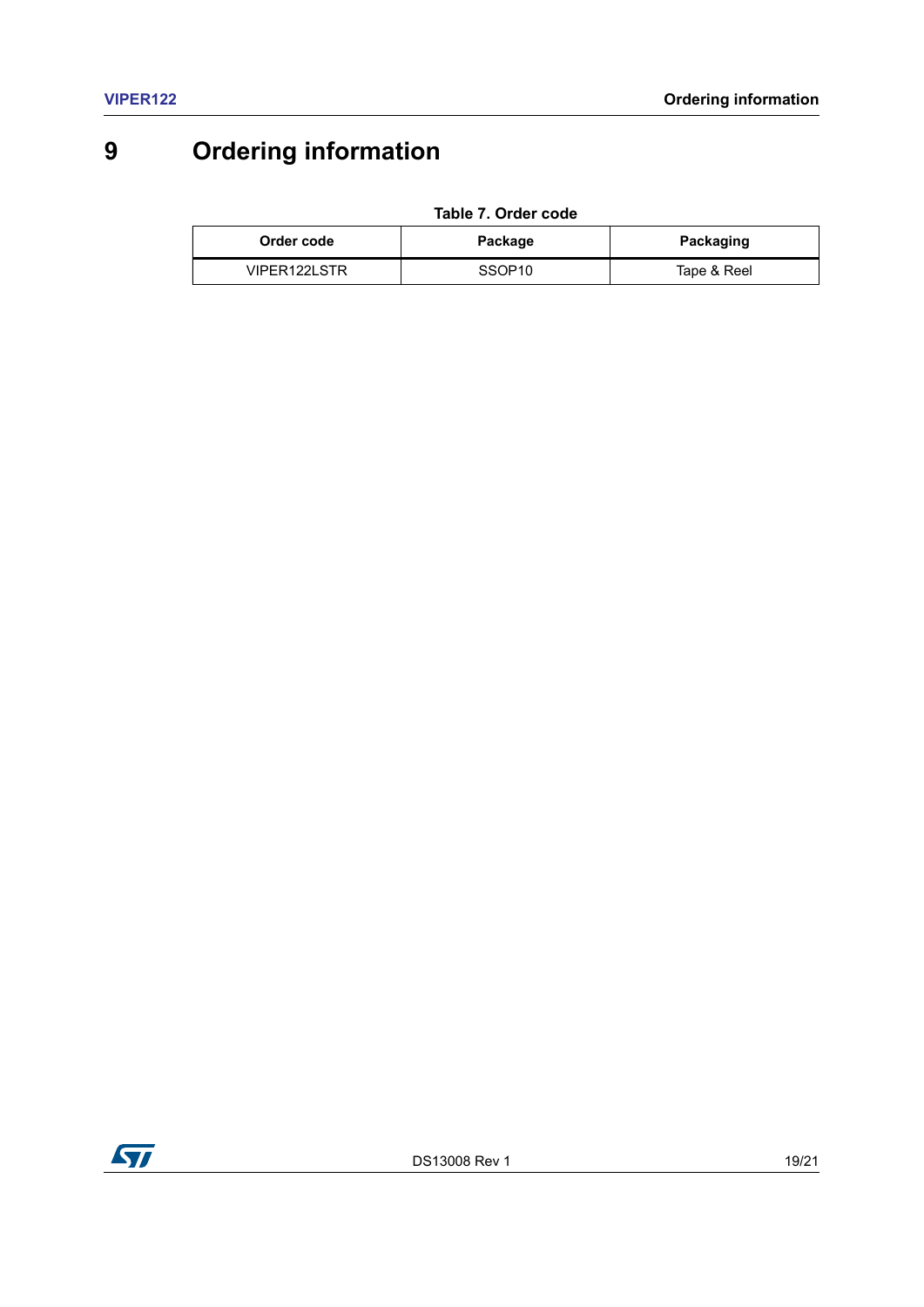# <span id="page-18-0"></span>**9 Ordering information**

**Table 7. Order code**

<span id="page-18-1"></span>

| Order code   | Package            | Packaging   |
|--------------|--------------------|-------------|
| VIPER122LSTR | SSOP <sub>10</sub> | Tape & Reel |

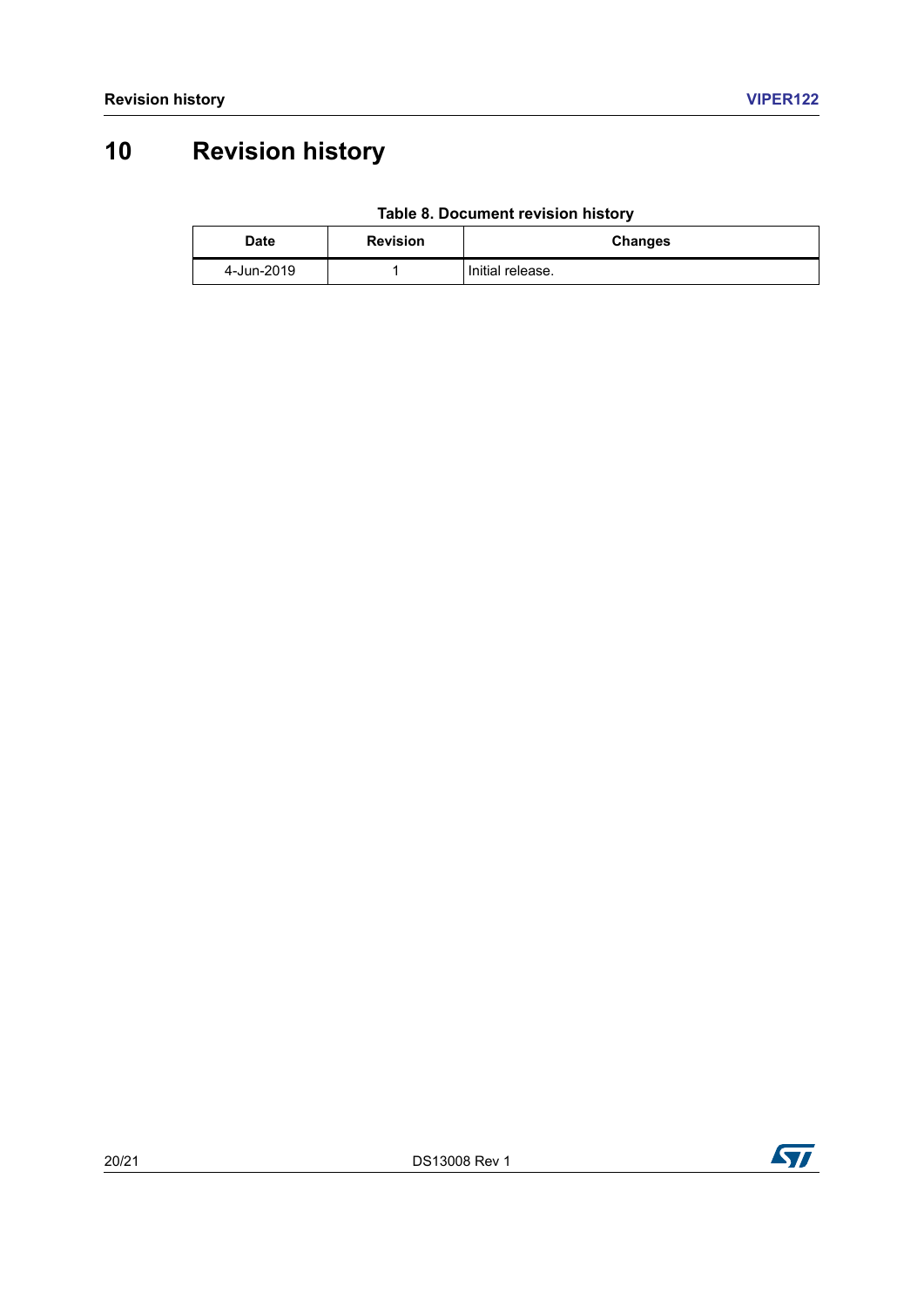# <span id="page-19-0"></span>**10 Revision history**

|  | Table 8. Document revision history |  |  |
|--|------------------------------------|--|--|
|--|------------------------------------|--|--|

<span id="page-19-1"></span>

| Date       | <b>Revision</b> | <b>Changes</b>   |
|------------|-----------------|------------------|
| 4-Jun-2019 |                 | Initial release. |